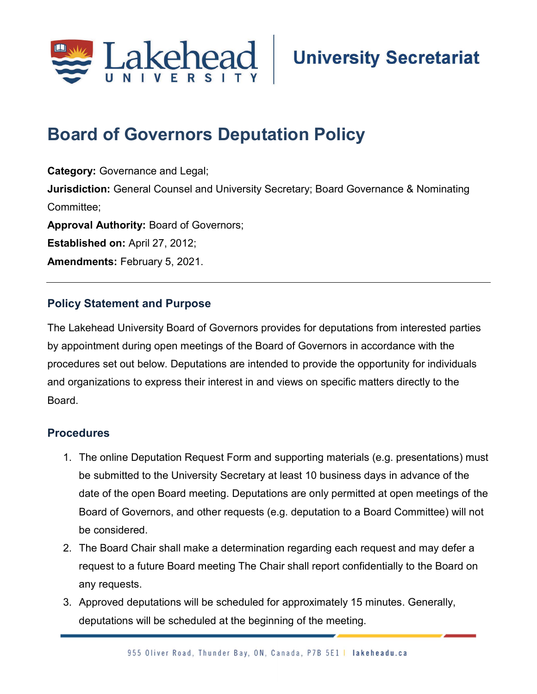

## Board of Governors Deputation Policy

Category: Governance and Legal; **Jurisdiction:** General Counsel and University Secretary; Board Governance & Nominating Committee; Approval Authority: Board of Governors; Established on: April 27, 2012; Amendments: February 5, 2021.

## Policy Statement and Purpose

The Lakehead University Board of Governors provides for deputations from interested parties by appointment during open meetings of the Board of Governors in accordance with the procedures set out below. Deputations are intended to provide the opportunity for individuals and organizations to express their interest in and views on specific matters directly to the Board.

## **Procedures**

- 1. The online Deputation Request Form and supporting materials (e.g. presentations) must be submitted to the University Secretary at least 10 business days in advance of the date of the open Board meeting. Deputations are only permitted at open meetings of the Board of Governors, and other requests (e.g. deputation to a Board Committee) will not be considered.
- 2. The Board Chair shall make a determination regarding each request and may defer a request to a future Board meeting The Chair shall report confidentially to the Board on any requests.
- 3. Approved deputations will be scheduled for approximately 15 minutes. Generally, deputations will be scheduled at the beginning of the meeting.